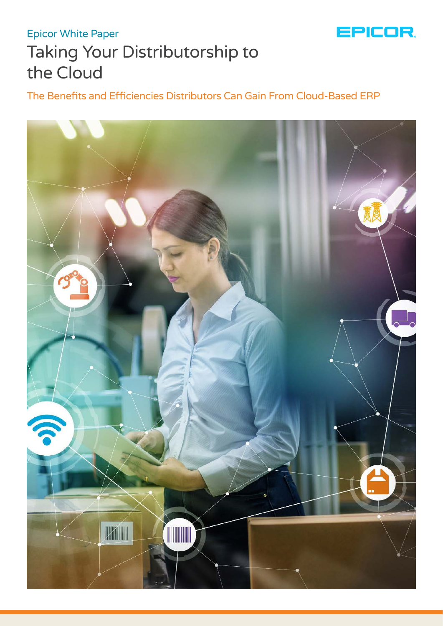

# Taking Your Distributorship to the Cloud Epicor White Paper

The Benefits and Efficiencies Distributors Can Gain From Cloud-Based ERP

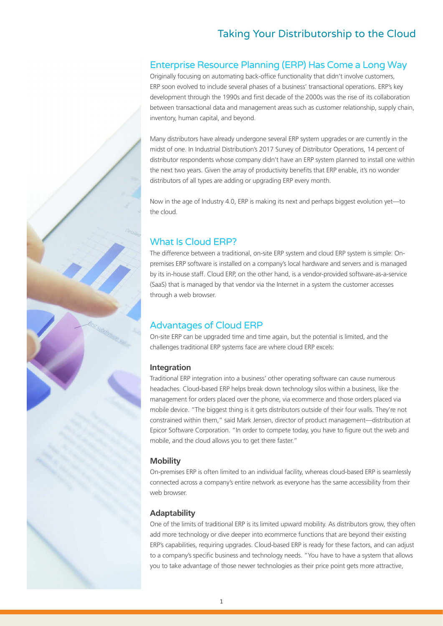# Taking Your Distributorship to the Cloud

### Enterprise Resource Planning (ERP) Has Come a Long Way

Originally focusing on automating back-office functionality that didn't involve customers, ERP soon evolved to include several phases of a business' transactional operations. ERP's key development through the 1990s and first decade of the 2000s was the rise of its collaboration between transactional data and management areas such as customer relationship, supply chain, inventory, human capital, and beyond.

Many distributors have already undergone several ERP system upgrades or are currently in the midst of one. In Industrial Distribution's 2017 Survey of Distributor Operations, 14 percent of distributor respondents whose company didn't have an ERP system planned to install one within the next two years. Given the array of productivity benefits that ERP enable, it's no wonder distributors of all types are adding or upgrading ERP every month.

Now in the age of Industry 4.0, ERP is making its next and perhaps biggest evolution yet—to the cloud.

### What Is Cloud ERP?

The difference between a traditional, on-site ERP system and cloud ERP system is simple: Onpremises ERP software is installed on a company's local hardware and servers and is managed by its in-house staff. Cloud ERP, on the other hand, is a vendor-provided software-as-a-service (SaaS) that is managed by that vendor via the Internet in a system the customer accesses through a web browser.

### Advantages of Cloud ERP

On-site ERP can be upgraded time and time again, but the potential is limited, and the challenges traditional ERP systems face are where cloud ERP excels:

### **Integration**

Traditional ERP integration into a business' other operating software can cause numerous headaches. Cloud-based ERP helps break down technology silos within a business, like the management for orders placed over the phone, via ecommerce and those orders placed via mobile device. "The biggest thing is it gets distributors outside of their four walls. They're not constrained within them," said Mark Jensen, director of product management—distribution at Epicor Software Corporation. "In order to compete today, you have to figure out the web and mobile, and the cloud allows you to get there faster."

### **Mobility**

On-premises ERP is often limited to an individual facility, whereas cloud-based ERP is seamlessly connected across a company's entire network as everyone has the same accessibility from their web browser.

### **Adaptability**

One of the limits of traditional ERP is its limited upward mobility. As distributors grow, they often add more technology or dive deeper into ecommerce functions that are beyond their existing ERP's capabilities, requiring upgrades. Cloud-based ERP is ready for these factors, and can adjust to a company's specific business and technology needs. "You have to have a system that allows you to take advantage of those newer technologies as their price point gets more attractive,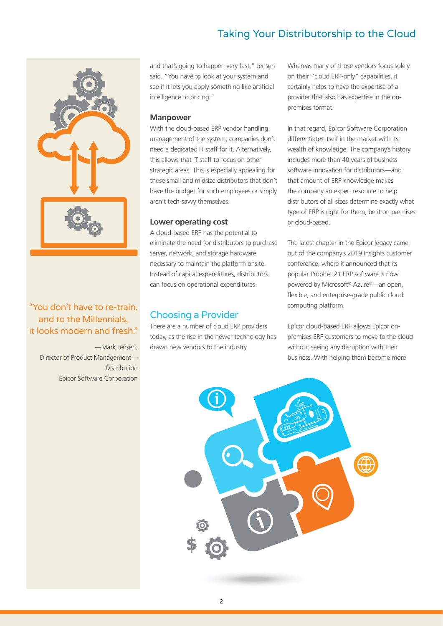# Taking Your Distributorship to the Cloud



### "You don't have to re-train, and to the Millennials, it looks modern and fresh."

—Mark Jensen, Director of Product Management— **Distribution** Epicor Software Corporation

and that's going to happen very fast," Jensen said. "You have to look at your system and see if it lets you apply something like artificial intelligence to pricing."

#### **Manpower**

With the cloud-based ERP vendor handling management of the system, companies don't need a dedicated IT staff for it. Alternatively, this allows that IT staff to focus on other strategic areas. This is especially appealing for those small and midsize distributors that don't have the budget for such employees or simply aren't tech-savvy themselves.

### **Lower operating cost**

A cloud-based ERP has the potential to eliminate the need for distributors to purchase server, network, and storage hardware necessary to maintain the platform onsite. Instead of capital expenditures, distributors can focus on operational expenditures.

### Choosing a Provider

There are a number of cloud ERP providers today, as the rise in the newer technology has drawn new vendors to the industry.

Whereas many of those vendors focus solely on their "cloud ERP-only" capabilities, it certainly helps to have the expertise of a provider that also has expertise in the onpremises format.

In that regard, Epicor Software Corporation differentiates itself in the market with its wealth of knowledge. The company's history includes more than 40 years of business software innovation for distributors—and that amount of ERP knowledge makes the company an expert resource to help distributors of all sizes determine exactly what type of ERP is right for them, be it on premises or cloud-based.

The latest chapter in the Epicor legacy came out of the company's 2019 Insights customer conference, where it announced that its popular Prophet 21 ERP software is now powered by Microsoft® Azure®—an open, flexible, and enterprise-grade public cloud computing platform.

Epicor cloud-based ERP allows Epicor onpremises ERP customers to move to the cloud without seeing any disruption with their business. With helping them become more